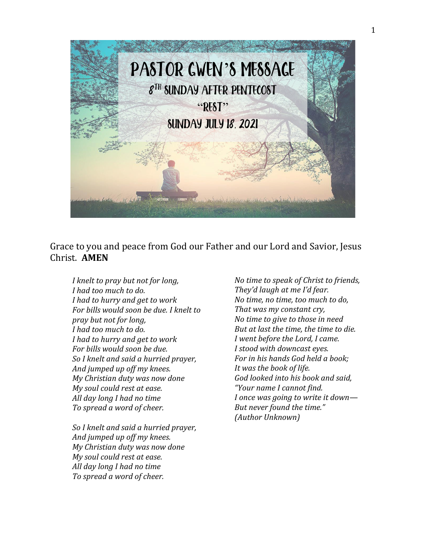

Grace to you and peace from God our Father and our Lord and Savior, Jesus Christ. **AMEN**

*I knelt to pray but not for long, I had too much to do. I had to hurry and get to work For bills would soon be due. I knelt to pray but not for long, I had too much to do. I had to hurry and get to work For bills would soon be due. So I knelt and said a hurried prayer, And jumped up off my knees. My Christian duty was now done My soul could rest at ease. All day long I had no time To spread a word of cheer.*

*So I knelt and said a hurried prayer, And jumped up off my knees. My Christian duty was now done My soul could rest at ease. All day long I had no time To spread a word of cheer.*

*No time to speak of Christ to friends, They'd laugh at me I'd fear. No time, no time, too much to do, That was my constant cry, No time to give to those in need But at last the time, the time to die. I went before the Lord, I came. I stood with downcast eyes. For in his hands God held a book; It was the book of life. God looked into his book and said, "Your name I cannot find. I once was going to write it down— But never found the time." (Author Unknown)*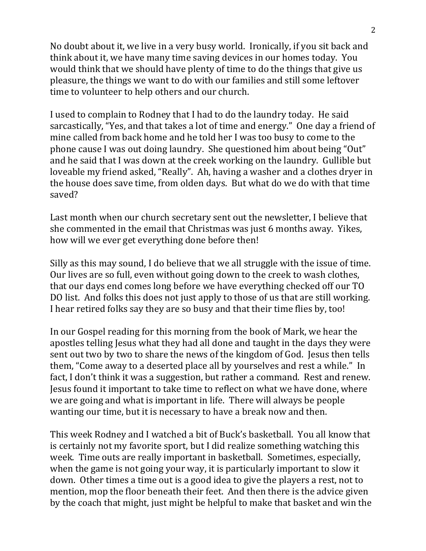No doubt about it, we live in a very busy world. Ironically, if you sit back and think about it, we have many time saving devices in our homes today. You would think that we should have plenty of time to do the things that give us pleasure, the things we want to do with our families and still some leftover time to volunteer to help others and our church.

I used to complain to Rodney that I had to do the laundry today. He said sarcastically, "Yes, and that takes a lot of time and energy." One day a friend of mine called from back home and he told her I was too busy to come to the phone cause I was out doing laundry. She questioned him about being "Out" and he said that I was down at the creek working on the laundry. Gullible but loveable my friend asked, "Really". Ah, having a washer and a clothes dryer in the house does save time, from olden days. But what do we do with that time saved?

Last month when our church secretary sent out the newsletter, I believe that she commented in the email that Christmas was just 6 months away. Yikes, how will we ever get everything done before then!

Silly as this may sound, I do believe that we all struggle with the issue of time. Our lives are so full, even without going down to the creek to wash clothes, that our days end comes long before we have everything checked off our TO DO list. And folks this does not just apply to those of us that are still working. I hear retired folks say they are so busy and that their time flies by, too!

In our Gospel reading for this morning from the book of Mark, we hear the apostles telling Jesus what they had all done and taught in the days they were sent out two by two to share the news of the kingdom of God. Jesus then tells them, "Come away to a deserted place all by yourselves and rest a while." In fact, I don't think it was a suggestion, but rather a command. Rest and renew. Jesus found it important to take time to reflect on what we have done, where we are going and what is important in life. There will always be people wanting our time, but it is necessary to have a break now and then.

This week Rodney and I watched a bit of Buck's basketball. You all know that is certainly not my favorite sport, but I did realize something watching this week. Time outs are really important in basketball. Sometimes, especially, when the game is not going your way, it is particularly important to slow it down. Other times a time out is a good idea to give the players a rest, not to mention, mop the floor beneath their feet. And then there is the advice given by the coach that might, just might be helpful to make that basket and win the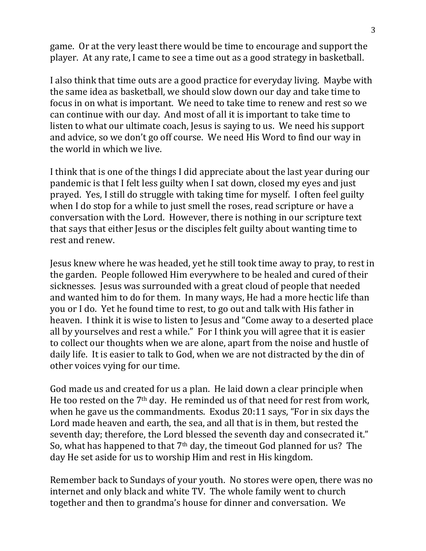game. Or at the very least there would be time to encourage and support the player. At any rate, I came to see a time out as a good strategy in basketball.

I also think that time outs are a good practice for everyday living. Maybe with the same idea as basketball, we should slow down our day and take time to focus in on what is important. We need to take time to renew and rest so we can continue with our day. And most of all it is important to take time to listen to what our ultimate coach, Jesus is saying to us. We need his support and advice, so we don't go off course. We need His Word to find our way in the world in which we live.

I think that is one of the things I did appreciate about the last year during our pandemic is that I felt less guilty when I sat down, closed my eyes and just prayed. Yes, I still do struggle with taking time for myself. I often feel guilty when I do stop for a while to just smell the roses, read scripture or have a conversation with the Lord. However, there is nothing in our scripture text that says that either Jesus or the disciples felt guilty about wanting time to rest and renew.

Jesus knew where he was headed, yet he still took time away to pray, to rest in the garden. People followed Him everywhere to be healed and cured of their sicknesses. Jesus was surrounded with a great cloud of people that needed and wanted him to do for them. In many ways, He had a more hectic life than you or I do. Yet he found time to rest, to go out and talk with His father in heaven. I think it is wise to listen to Jesus and "Come away to a deserted place all by yourselves and rest a while." For I think you will agree that it is easier to collect our thoughts when we are alone, apart from the noise and hustle of daily life. It is easier to talk to God, when we are not distracted by the din of other voices vying for our time.

God made us and created for us a plan. He laid down a clear principle when He too rested on the 7th day. He reminded us of that need for rest from work, when he gave us the commandments. Exodus 20:11 says, "For in six days the Lord made heaven and earth, the sea, and all that is in them, but rested the seventh day; therefore, the Lord blessed the seventh day and consecrated it." So, what has happened to that 7th day, the timeout God planned for us? The day He set aside for us to worship Him and rest in His kingdom.

Remember back to Sundays of your youth. No stores were open, there was no internet and only black and white TV. The whole family went to church together and then to grandma's house for dinner and conversation. We